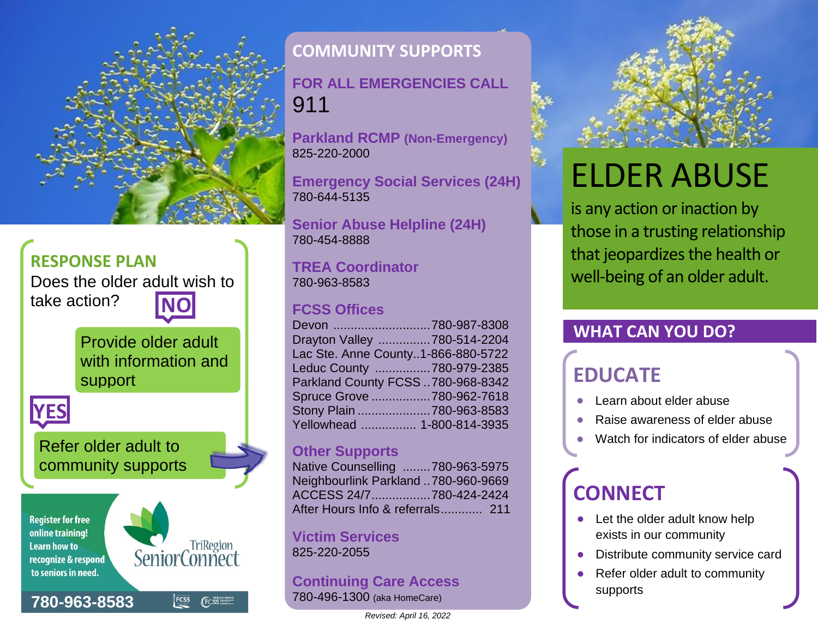

### **RESPONSE PLAN**

Does the older adult wish to take action?

> Provide older adult with information and support



Refer older adult to community supports

#### **Register for free** online training! **Learn how to** recognize & respond to seniors in need.

**780-963[-8583](https://www.google.com/search?q=stony+plain+fcss&ie=utf-8&oe=utf-8&client=firefox-b-ab)**



FCSS (FCSS

### **COMMUNITY SUPPORTS**

**FOR ALL EMERGENCIES CALL**  911

**Parkland RCMP (Non-Emergency)** 825-220-2000

**Emergency Social Services (24H)** 780-644-5135

**Senior Abuse Helpline (24H)** 780-454-8888

### **TREA Coordinator** 780-963-8583

### **FCSS Offices**

| Devon 780-987-8308                 |  |
|------------------------------------|--|
| Drayton Valley 780-514-2204        |  |
| Lac Ste. Anne County1-866-880-5722 |  |
| Leduc County 780-979-2385          |  |
| Parkland County FCSS 780-968-8342  |  |
| Spruce Grove 780-962-7618          |  |
| Stony Plain 780-963-8583           |  |
| Yellowhead  1-800-814-3935         |  |
|                                    |  |

### **Other Supports**

| Native Counselling 780-963-5975     |  |
|-------------------------------------|--|
| Neighbourlink Parkland 780-960-9669 |  |
| ACCESS 24/7780-424-2424             |  |
| After Hours Info & referrals 211    |  |

### **Victim Services** 825-220-2055

### **Continuing Care Access** 780-496-1300 (aka HomeCare)



# ELDER ABUSE

is any action or inaction by those in a trusting relationship that jeopardizes the health or well-being of an older adult.

### **WHAT CAN YOU DO?**

### **EDUCATE**

- Learn about elder abuse
- Raise awareness of elder abuse
- Watch for indicators of elder abuse

## **CONNECT**

- Let the older adult know help exists in our community
- Distribute community service card
- Refer older adult to community supports